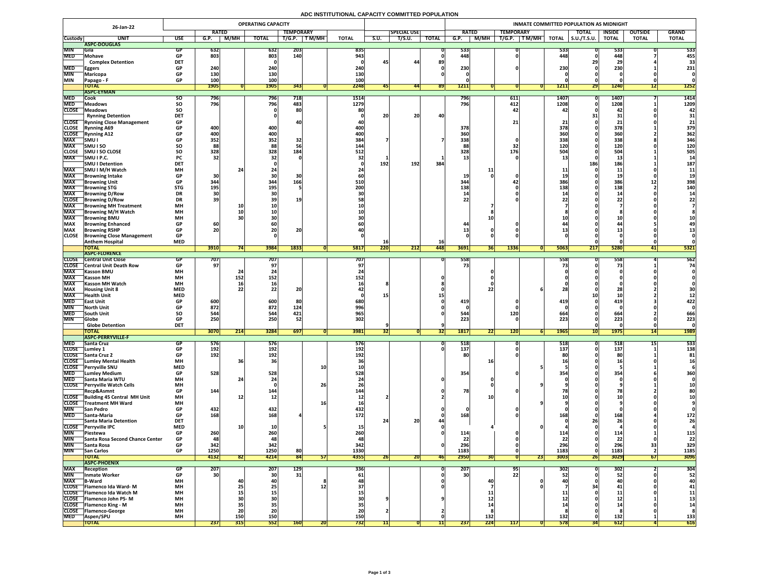# **ADC INSTITUTIONAL CAPACITY COMMITTED POPULATION**

|                          | 26-Jan-22                                                        |                         |                          |                                                               | <b>OPERATING CAPACITY</b> |                   |           |                  |      |                    |              |                  |             |                  |                      |                     | INMATE COMMITTED POPULATION AS MIDNIGHT |                 |                |              |
|--------------------------|------------------------------------------------------------------|-------------------------|--------------------------|---------------------------------------------------------------|---------------------------|-------------------|-----------|------------------|------|--------------------|--------------|------------------|-------------|------------------|----------------------|---------------------|-----------------------------------------|-----------------|----------------|--------------|
|                          |                                                                  |                         | <b>RATED</b>             |                                                               |                           | <b>TEMPORARY</b>  |           |                  |      | <b>SPECIAL USE</b> |              | <b>RATED</b>     |             | <b>TEMPORARY</b> |                      |                     | <b>TOTAL</b>                            | <b>INSIDE</b>   | <b>OUTSIDE</b> | <b>GRAND</b> |
| <b>Custody</b>           | <b>UNIT</b>                                                      | <b>USE</b>              | G.P.                     | M/MH                                                          | <b>TOTAL</b>              | T/G.P.            | T M/MH    | <b>TOTAL</b>     | S.U. | T/S.U.             | <b>TOTAL</b> | G.P.             | <b>M/MH</b> | T/G.P.           | $\sqrt{T}$ M/MH $_1$ | <b>TOTAL</b>        | $\vert$ S.U./T.S.U.                     | <b>TOTAL</b>    | <b>TOTAL</b>   | <b>TOTAL</b> |
|                          | ASPC-DOUGLAS                                                     |                         |                          |                                                               |                           |                   |           |                  |      |                    |              |                  |             |                  |                      |                     |                                         |                 |                |              |
| <b>MIN</b><br><b>MED</b> | <b>Sila</b><br>Mohave                                            | GP<br><b>GP</b>         | <b>632</b><br>803        |                                                               | 632<br>803                | <b>203</b><br>140 |           | 835<br>943       |      |                    |              | 533<br>448       |             |                  |                      | 533 <br>448         |                                         | 533<br>448      |                | 533<br>455   |
|                          | <b>Complex Detention</b>                                         | <b>DET</b>              |                          |                                                               |                           |                   |           |                  | 45   | 44                 | 89           |                  |             |                  |                      |                     |                                         | 2 <sup>c</sup>  |                | 33           |
| <b>MED</b>               | <b>Eggers</b>                                                    | <b>GP</b>               | 240                      |                                                               | 240                       |                   |           | 240              |      |                    |              | 230 <sub>1</sub> |             |                  |                      | 230                 |                                         | 230             |                | 231          |
| <b>MIN</b>               | <b>Maricopa</b>                                                  | <b>GP</b>               | <b>130</b>               |                                                               | 130                       |                   |           | 130              |      |                    |              |                  |             |                  |                      |                     |                                         |                 |                |              |
| <b>MIN</b>               | <b>Papago - F</b>                                                | <b>GP</b>               | 100                      |                                                               | 100                       |                   |           | 100              |      |                    |              |                  |             |                  |                      |                     |                                         |                 |                |              |
|                          | <b>TOTAL</b>                                                     |                         | <b>1905</b>              |                                                               | <b>1905</b>               | 343               |           | 2248             |      | 441                | <b>891</b>   | 1211             |             |                  |                      | <b>1211</b>         | <b>291</b>                              | <b>1240</b>     | L              | <b>1252</b>  |
|                          | <b>ASPC-EYMAN</b>                                                |                         |                          |                                                               |                           |                   |           |                  |      |                    |              |                  |             |                  |                      |                     |                                         |                 |                |              |
| <b>MED</b><br><b>MED</b> | Cook                                                             | <b>SU</b>               | 796<br>796               |                                                               | <b>796</b><br>796         | 718<br>483        |           | 1514             |      |                    |              | 796<br>796       |             | 611<br>412       |                      | <b>1407</b><br>1208 |                                         | 1407            |                | 1414         |
| <b>CLOSE</b>             | <b>Meadows</b><br><b>TMeadows</b>                                | <b>SO</b><br><b>SO</b>  |                          |                                                               |                           | 80                |           | 1279<br>80       |      |                    |              |                  |             | <b>47</b>        |                      |                     |                                         | 1208<br>42      |                | 1209<br>42   |
|                          | <b>Rynning Detention</b>                                         | <b>DET</b>              |                          |                                                               |                           |                   |           |                  | 20   | 20                 | 40           |                  |             |                  |                      |                     |                                         | 31              |                | 31           |
|                          | <b>CLOSE</b> Rynning Close Management                            | <b>GP</b>               |                          |                                                               |                           |                   |           |                  |      |                    |              |                  |             | 21 <sub>1</sub>  |                      |                     |                                         |                 |                | 21           |
| <b>CLOSE</b>             | <b>Rynning A69</b>                                               | <b>GP</b>               | 400                      |                                                               | 400                       |                   |           | 400              |      |                    |              | 378              |             |                  |                      | 378                 |                                         | 378             |                | 379          |
| <b>CLOSE</b>             | <b>Rynning A12</b>                                               | <b>GP</b>               | 400                      |                                                               | 400                       |                   |           | 400              |      |                    |              | 360              |             |                  |                      | 360                 |                                         | 360             |                | 362          |
| <b>MAX</b>               | SMU I                                                            | <b>GP</b>               | 352                      |                                                               | 352                       | 32                |           | 384              |      |                    |              | 338              |             |                  |                      | 338                 |                                         | 338             |                | 346          |
| <b>MAX</b>               | <b>SMUISO</b>                                                    | <b>SO</b>               | 88                       |                                                               | 88                        |                   |           | 144              |      |                    |              |                  |             |                  |                      | 120                 |                                         | 120             |                | 120          |
| <b>CLOSE</b>             | <b>SMU I SO CLOSE</b>                                            | <b>SO</b>               | 328                      |                                                               | 328                       | 184               |           | 512              |      |                    |              | 328              |             | 176              |                      | 504                 |                                         | 504             |                | 505          |
| <b>MAX</b>               | SMU I P.C.<br><b>SMU I Detention</b>                             | <b>PC</b><br><b>DET</b> | 32                       |                                                               |                           |                   |           |                  | 192  | 192                | 384          |                  |             |                  |                      |                     | 186                                     | ∸∸<br>186       |                | 187          |
| <b>MAX</b>               | SMU I M/H Watch                                                  | <b>MH</b>               |                          |                                                               |                           |                   |           |                  |      |                    |              |                  |             |                  |                      |                     |                                         | <b>11</b>       |                |              |
| <b>MAX</b>               | Browning Intake                                                  | <b>GP</b>               | 30                       |                                                               |                           |                   |           |                  |      |                    |              | <b>19</b>        |             |                  |                      |                     |                                         | ᆂ               |                |              |
| <b>MAX</b>               | <b>Browning Unit</b>                                             | <b>GP</b>               | 344                      |                                                               | 344                       | 166               |           | <b>510</b>       |      |                    |              | 344              |             |                  |                      | 386                 |                                         | 386             | ┻┻             | 398          |
| <b>MAX</b>               | <b>Browning STG</b>                                              | <b>STG</b>              | 195                      |                                                               | 195                       |                   |           | 200              |      |                    |              | <b>138</b>       |             |                  |                      | 138                 |                                         | 138             |                | 140          |
| <b>MAX</b>               | <b>Browning D/Row</b>                                            | <b>DR</b>               | 30                       |                                                               |                           |                   |           |                  |      |                    |              |                  |             |                  |                      |                     |                                         |                 |                |              |
| <b>CLOSE</b>             | <b>Browning D/Row</b>                                            | <b>DR</b>               | 39                       |                                                               |                           | 19                |           |                  |      |                    |              | つつ               |             |                  |                      |                     |                                         |                 |                |              |
| <b>MAX</b>               | <b>Browning MH Treatment</b>                                     | <b>MH</b>               |                          | <b>10</b>                                                     |                           |                   |           |                  |      |                    |              |                  |             |                  |                      |                     |                                         |                 |                |              |
| <b>MAX</b><br><b>MAX</b> | <b>TBrowning M/H Watch</b>                                       | <b>MH</b><br><b>MH</b>  |                          |                                                               |                           |                   |           |                  |      |                    |              |                  |             |                  |                      |                     |                                         |                 |                |              |
| <b>MAX</b>               | <b>Browning BMU</b><br><b>Browning Enhanced</b>                  | <b>GP</b>               | 60                       |                                                               |                           |                   |           |                  |      |                    |              |                  |             |                  |                      |                     |                                         |                 |                |              |
| <b>MAX</b>               | <b>Browning RSHP</b>                                             | <b>GP</b>               | 20                       |                                                               | ZU                        | 20                |           |                  |      |                    |              |                  |             |                  |                      |                     |                                         |                 |                |              |
| <b>CLOSE</b>             | <b>Browning Close Management</b>                                 | <b>GP</b>               |                          |                                                               |                           |                   |           |                  |      |                    |              |                  |             |                  |                      |                     |                                         |                 |                |              |
|                          | <b>Anthem Hospital</b>                                           | <b>MED</b>              |                          |                                                               |                           |                   |           |                  | TO   |                    | <b>16</b>    |                  |             |                  |                      |                     |                                         |                 |                |              |
|                          | <b>TOTAL</b>                                                     |                         | 3910                     |                                                               | 3984                      | 1833              |           | <b>5817</b>      | 220  | 212                | <b>448</b>   | 3691             | 36          | 1336             |                      | 5063                | 217                                     | 5280            | 4 L I          | 5321         |
|                          | <b>ASPC-FLORENCE</b>                                             |                         |                          |                                                               |                           |                   |           |                  |      |                    |              |                  |             |                  |                      |                     |                                         |                 |                |              |
| <b>CLOSE</b>             | <b>Central Unit Close</b><br><b>CLOSE</b> Central Unit Death Row |                         | 707  <br>97 <sub>1</sub> |                                                               | 707                       |                   |           | 707              |      |                    |              | 558              |             |                  |                      | <b>5581</b>         |                                         | 558             |                | 562<br>74    |
| <b>MAX</b>               | <b>Kasson BMU</b>                                                | <b>GP</b><br><b>MH</b>  |                          |                                                               |                           |                   |           |                  |      |                    |              |                  |             |                  |                      |                     |                                         |                 |                |              |
| <b>MAX</b>               | <b>Kasson MH</b>                                                 | <b>MH</b>               |                          | 152                                                           | 152                       |                   |           | 1521             |      |                    |              |                  |             |                  |                      |                     |                                         |                 |                |              |
| <b>MAX</b>               | <b>Kasson MH Watch</b>                                           | <b>MH</b>               |                          |                                                               |                           |                   |           |                  |      |                    |              |                  |             |                  |                      |                     |                                         |                 |                |              |
| <b>MAX</b>               | <b>Housing Unit 8</b>                                            | <b>MED</b>              |                          |                                                               |                           | 91                |           |                  |      |                    |              |                  |             |                  |                      |                     |                                         |                 |                |              |
| <b>MAX</b>               | <b>Health Unit</b>                                               | <b>MED</b>              |                          |                                                               |                           |                   |           |                  |      |                    |              |                  |             |                  |                      |                     |                                         |                 |                |              |
| <b>MED</b>               | <b>TEast Unit</b>                                                | <b>GP</b>               | 600                      |                                                               | 600                       |                   |           | 680              |      |                    |              | 419              |             |                  |                      | 419                 |                                         | 419             |                | 422          |
| <b>MIN</b>               | <b>North Unit</b>                                                | <b>GP</b>               | 872                      |                                                               | 872                       | 124               |           | 996              |      |                    |              |                  |             |                  |                      |                     |                                         |                 |                |              |
| <b>MED</b><br><b>MIN</b> | <b>South Unit</b><br><b>Globe</b>                                | <b>SO</b><br><b>GP</b>  | 544<br>250               |                                                               | 544<br>250                | 421<br>52         |           | 965<br>302       |      |                    |              | 544<br>223       |             | <b>120</b>       |                      | 664<br>223          |                                         | 664<br>223      |                | 666<br>223   |
|                          | <b>Globe Detention</b>                                           | <b>DET</b>              |                          |                                                               |                           |                   |           |                  |      |                    |              |                  |             |                  |                      |                     |                                         |                 |                |              |
|                          | <b>TOTAL</b>                                                     |                         | <b>3070</b>              | $\begin{array}{c} \n \boldsymbol{341} \n \end{array}$<br> Z14 | <b>3284</b>               | 697               |           | 3981             | 32   |                    | [32]         | <b>1817</b>      | nn.<br> 22  | 120              |                      | <b>1965</b>         | 1 A I<br>TO F                           | <b>1975</b>     | 11<br> 14      | <b>1989</b>  |
|                          | <b>ASPC-PERRYVILLE-F</b>                                         |                         |                          |                                                               |                           |                   |           |                  |      |                    |              |                  |             |                  |                      |                     |                                         |                 |                |              |
| <b>MED</b>               | <b>Santa Cruz</b>                                                | <b>GP</b>               | 576                      |                                                               | 576                       |                   |           | <b>576</b>       |      |                    |              | 518              |             |                  |                      | 518                 |                                         | 518             |                | 533          |
| <b>CLOSE</b>             | Lumley 1                                                         | <b>GP</b>               | 192                      |                                                               | 192                       |                   |           | <b>192</b>       |      |                    |              | 137              |             |                  |                      | 137                 |                                         | 137             |                | 138          |
|                          | CLOSE Santa Cruz 2<br><b>CLOSE</b> Lumley Mental Health          | <b>GP</b><br><b>MH</b>  | 192                      |                                                               | 192                       |                   |           | 192              |      |                    |              | 80               |             |                  |                      |                     |                                         |                 |                | 81           |
| <b>CLOSE</b>             | <b>Perryville SNU</b>                                            | <b>MED</b>              |                          |                                                               |                           |                   | <b>10</b> |                  |      |                    |              |                  |             |                  |                      |                     |                                         |                 |                |              |
| <b>MED</b>               | <b>Lumley Medium</b>                                             | <b>GP</b>               | 528                      |                                                               | 528                       |                   |           | 528              |      |                    |              | 354              |             |                  |                      | <b>354</b>          |                                         | 354             |                | 360          |
| <b>MED</b>               | <b>Santa Maria WTU</b>                                           | <b>MH</b>               |                          |                                                               |                           |                   |           |                  |      |                    |              |                  |             |                  |                      |                     |                                         |                 |                |              |
| <b>CLOSE</b>             | <b>Perryville Watch Cells</b>                                    | <b>MH</b>               |                          |                                                               |                           |                   | 26        |                  |      |                    |              |                  |             |                  |                      |                     |                                         |                 |                |              |
|                          | Recp&Asmnt                                                       | <b>GP</b>               | 144                      |                                                               | 144'                      |                   |           | 144              |      |                    |              | 78               |             |                  |                      |                     |                                         |                 |                |              |
|                          | CLOSE Building 45 Central MH Unit                                | <b>MH</b>               |                          |                                                               | TV.                       |                   |           |                  |      |                    |              |                  |             |                  |                      |                     |                                         |                 |                |              |
| <b>MIN</b>               | <b>CLOSE</b> Treatment MH Ward<br><b>San Pedro</b>               | <b>MH</b><br><b>GP</b>  | 432                      |                                                               | 432                       |                   |           | <b>16</b><br>432 |      |                    |              |                  |             |                  |                      |                     |                                         |                 |                |              |
| <b>MED</b>               | <b>Santa-Maria</b>                                               | <b>GP</b>               | 168                      |                                                               | 168                       |                   |           | <b>172</b>       |      |                    |              | 168              |             |                  |                      |                     |                                         | 168             |                | 172          |
|                          | <b>Santa Maria Detention</b>                                     | <b>DET</b>              |                          |                                                               |                           |                   |           |                  |      | ാറ<br>ZUI          |              |                  |             |                  |                      |                     |                                         | 26              |                | 26           |
|                          | CLOSE Perryville IPC                                             | <b>MED</b>              |                          |                                                               |                           |                   |           |                  |      |                    |              |                  |             |                  |                      |                     |                                         |                 |                |              |
| <b>MIN</b>               | <b>Piestewa</b>                                                  | <b>GP</b>               | 260                      |                                                               | 260                       |                   |           |                  |      |                    |              | 114              |             |                  |                      |                     |                                         | <b>114</b>      |                | 115          |
| <b>MIN</b>               | <b>Santa Rosa Second Chance Center</b>                           | <b>GP</b>               | 48                       |                                                               | 48                        |                   |           |                  |      |                    |              | 22               |             |                  |                      |                     |                                         | 22              |                | 22           |
| <b>MIN</b>               | Santa Rosa                                                       | <b>GP</b>               | 342                      |                                                               | 342                       |                   |           | 342              |      |                    |              | 296              |             |                  |                      | 296                 |                                         | 296             |                | 329          |
| <b>MIN</b>               | <b>San Carlos</b>                                                | <b>GP</b>               | 1250                     |                                                               | 1250                      | 80                |           | 1330             |      |                    |              | 1183             |             |                  |                      | 1183                |                                         | 1183            |                | 1185<br>3096 |
|                          | <b>TOTAL</b><br><b>ASPC-PHOENIX</b>                              |                         | 4132                     | 82                                                            | 4214                      | 84                | 51        | 4355             | 26   | ZUI                | <b>46</b>    | 2950             | <b>30</b>   |                  | 23                   | 3003                | <b>Zbl</b>                              | 3029            | 671            |              |
| <b>MAX</b>               | <b>Reception</b>                                                 | <b>GP</b>               | 207                      |                                                               | 207                       | <b>129</b>        |           | 336              |      |                    |              | 207              |             | 95               |                      | 302                 |                                         | 302             |                | 304          |
| <b>MIN</b>               | Inmate Worker                                                    | <b>GP</b>               | 30                       |                                                               | 30 <sup>l</sup>           | 31                |           | 61               |      |                    |              | 30 <sup>1</sup>  |             | 22               |                      |                     |                                         | 52 <sub>1</sub> |                | 52           |
| <b>MAX</b>               | <b>B-Ward</b>                                                    | <b>MH</b>               |                          |                                                               |                           |                   |           |                  |      |                    |              |                  | 40          |                  |                      |                     |                                         |                 |                | 40           |
|                          | CLOSE   Flamenco Ida Ward-M                                      | <b>MH</b>               |                          |                                                               |                           |                   |           |                  |      |                    |              |                  |             |                  |                      |                     |                                         |                 |                | 41           |
|                          | CLOSE   Flamenco Ida Watch M                                     | <b>MH</b>               |                          |                                                               |                           |                   |           |                  |      |                    |              |                  |             |                  |                      |                     |                                         |                 |                | 11           |
|                          | <b>CLOSE</b> Flamenco John PS-M                                  | <b>MH</b>               |                          |                                                               |                           |                   |           |                  |      |                    |              |                  |             |                  |                      |                     |                                         | - 10 de j       |                |              |
|                          | <b>CLOSE</b> Flamenco King - M<br>CLOSE   Flamenco-George        | <b>MH</b><br><b>MH</b>  |                          |                                                               |                           |                   |           |                  |      |                    |              |                  |             |                  |                      |                     |                                         |                 |                |              |
| <b>MED</b>               | <b>Aspen/SPU</b>                                                 | <b>MH</b>               |                          | ZU<br><b>150</b>                                              | ZU  <br>150               |                   |           | 150              |      |                    |              |                  | 132         |                  |                      | 132                 |                                         | 132             |                | 133          |
|                          | <b>TOTAL</b>                                                     |                         | 237                      | 315                                                           | 552                       | <b>160</b>        | <b>ZU</b> | 732              |      |                    |              | 237              | 224         | 117              |                      | <b>578</b>          |                                         | 612             |                | 616          |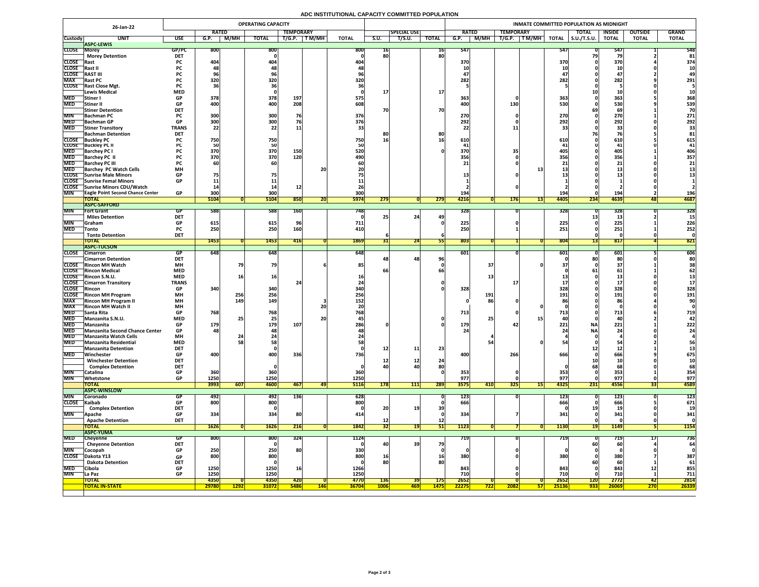# **ADC INSTITUTIONAL CAPACITY COMMITTED POPULATION**

|                               | 26-Jan-22                                                          |                         |                                 |                   | <b>OPERATING CAPACITY</b>      |                           |             |                      |                           |                    |                           |               |      |                                                                 |                 | INMATE COMMITTED POPULATION AS MIDNIGHT |                        |                  |                      |
|-------------------------------|--------------------------------------------------------------------|-------------------------|---------------------------------|-------------------|--------------------------------|---------------------------|-------------|----------------------|---------------------------|--------------------|---------------------------|---------------|------|-----------------------------------------------------------------|-----------------|-----------------------------------------|------------------------|------------------|----------------------|
|                               |                                                                    |                         | <b>RATED</b>                    |                   |                                | <b>TEMPORARY</b>          |             |                      |                           | <b>SPECIAL USE</b> |                           | <b>RATED</b>  |      | <b>TEMPORARY</b>                                                |                 | <b>TOTAL</b>                            | <b>INSIDE</b>          | <b>OUTSIDE</b>   | <b>GRAND</b>         |
| <b>Custody</b>                | <b>UNIT</b><br><b>ASPC-LEWIS</b>                                   | <b>USE</b>              | G.P.                            | M/MH              | <b>TOTAL</b>                   | T/G.P.                    | T M/MH      | <b>TOTAL</b>         | S.U.                      | T/S.U.             | <b>TOTAL</b>              | G.P.          | M/MH | T/G.P.<br>$\boxed{\mathsf{T}\,\mathsf{M}/\mathsf{M}\mathsf{H}}$ | <b>TOTAL</b>    | $\vert$ S.U./T.S.U.                     | <b>TOTAL</b>           | <b>TOTAL</b>     | <b>TOTAL</b>         |
| <b>CLOSE Morey</b>            |                                                                    | GP/PC                   | <b>800</b>                      |                   | 800                            |                           |             | 800                  | 10                        |                    | $16$                      | 547           |      |                                                                 | 547             |                                         | 547                    |                  | 548                  |
|                               | <b>Morey Detention</b>                                             | <b>DET</b>              |                                 |                   |                                |                           |             |                      | 80                        |                    | 80                        |               |      |                                                                 |                 |                                         |                        |                  | 81                   |
| <b>CLOSE</b> Rast             |                                                                    | <b>PC</b>               | 404                             |                   | 404                            |                           |             | 404                  |                           |                    |                           | 370           |      |                                                                 | 370             |                                         | 370                    |                  | 374                  |
| CLOSE Rast II<br><b>CLOSE</b> | <b>RAST III</b>                                                    | PL.<br><b>PC</b>        |                                 |                   |                                |                           |             |                      |                           |                    |                           | 10            |      |                                                                 |                 |                                         |                        |                  | <b>10</b>            |
| <b>MAX</b>                    | <b>Rast PC</b>                                                     |                         | 320                             |                   | 320                            |                           |             | 320                  |                           |                    |                           | 47<br>282     |      |                                                                 | 282             |                                         | 47<br>282              |                  | 291                  |
|                               | CLOSE Rast Close Mgt.                                              | <b>PC</b>               |                                 |                   |                                |                           |             |                      |                           |                    |                           |               |      |                                                                 |                 |                                         |                        |                  |                      |
|                               | <b>Lewis Medical</b>                                               | <b>MED</b>              |                                 |                   |                                |                           |             |                      |                           |                    | <b>17</b>                 |               |      |                                                                 |                 |                                         |                        |                  |                      |
| <b>MED</b>                    | Stiner I                                                           | <b>GP</b>               | 378                             |                   | 378                            | 197                       |             | 575                  |                           |                    |                           | 363           |      |                                                                 | 363             |                                         | 363                    |                  | 368                  |
| <b>MED</b>                    | Stiner II                                                          | <b>GP</b>               | 400                             |                   | 400                            | 208                       |             | 608                  |                           |                    |                           | 400           |      | 130                                                             | 530             |                                         | <b>530</b>             |                  | 539                  |
| <b>MIN</b>                    | <b>Stiner Detention</b><br><b>Bachman PC</b>                       | <b>DET</b>              | 300                             |                   | 300                            | 76                        |             | 376                  | 70                        |                    | 70                        | 270           |      |                                                                 | 27 <sub>C</sub> |                                         | 69<br>270              |                  | 70<br>271            |
|                               | MED Bachman GP                                                     | GD.<br>UГ               | 300 <sub>l</sub><br><b>PODE</b> |                   | 300 <sub>l</sub><br><b>POC</b> |                           |             | 376                  |                           |                    |                           | 202<br>LJL    |      |                                                                 | 2021<br>ZJZ     |                                         | 292                    |                  | 292                  |
| <b>MED</b>                    | <b>Stiner Transitory</b>                                           | <b>TRANS</b>            | 22                              |                   |                                | <b>11</b>                 |             |                      |                           |                    |                           |               |      |                                                                 |                 |                                         | 22<br>55               |                  |                      |
|                               | <b>Bachman Detention</b>                                           | <b>DET</b>              |                                 |                   |                                |                           |             |                      |                           |                    | 80                        |               |      |                                                                 |                 |                                         |                        |                  |                      |
|                               | <b>CLOSE</b> Buckley PC                                            |                         | 750                             |                   | 750                            |                           |             | 750                  | 16                        |                    |                           | 610           |      |                                                                 | <b>610</b>      |                                         | <b>610</b>             |                  | 615                  |
| <b>MED</b>                    | <b>CLOSE</b> Buckley PC II<br><b>Barchey PC I</b>                  |                         | 370                             |                   | 50<br>370                      | 150                       |             | 520                  |                           |                    |                           | 370           |      |                                                                 |                 |                                         | 405                    |                  | 406                  |
| <b>MED</b>                    | <b>Barchey PC II</b>                                               |                         | 370                             |                   | 370                            | 120                       |             | 490                  |                           |                    |                           | 356           |      |                                                                 | 356             |                                         | 356                    |                  | 357                  |
| <b>MED</b>                    | <b>Barchey PC III</b>                                              |                         |                                 |                   |                                |                           |             |                      |                           |                    |                           |               |      |                                                                 |                 |                                         |                        |                  | 21                   |
| <b>MED</b>                    | <b>Barchey PC Watch Cells</b>                                      | <b>MH</b>               |                                 |                   |                                |                           | 20          |                      |                           |                    |                           |               |      |                                                                 |                 |                                         | als w                  |                  |                      |
|                               | <b>CLOSE</b> Sunrise Male Minors                                   | <b>GP</b>               |                                 |                   |                                |                           |             |                      |                           |                    |                           |               |      |                                                                 |                 |                                         |                        |                  |                      |
|                               | CLOSE Sunrise Femal Minors<br>CLOSE Sunrise Minors CDU/Watch       | <b>GP</b>               |                                 |                   |                                |                           |             |                      |                           |                    |                           |               |      |                                                                 |                 |                                         |                        |                  |                      |
| <b>MIN</b>                    | <b>TEagle Point Second Chance Center</b>                           | <b>GP</b>               | 300                             |                   | 300                            |                           |             | 300                  |                           |                    |                           | 194           |      |                                                                 | 194             |                                         | 194                    |                  | <b>196</b>           |
|                               | <b>TOTAL</b>                                                       |                         | 5104                            |                   | 5104                           | 850                       | ZU.         | <b>5974</b>          | 279                       |                    | 279                       | 4216          |      | <b>176</b>                                                      | 4405            | 234                                     | 4639                   | 481              | 4687                 |
|                               | <b>ASPC-SAFFORD</b>                                                |                         |                                 |                   |                                |                           |             |                      |                           |                    |                           |               |      |                                                                 |                 |                                         |                        |                  |                      |
| <b>MIN</b>                    | <b>Fort Grant</b>                                                  | GP                      | 588                             |                   | 588                            | <b>160</b>                |             | 7481                 |                           |                    |                           | 328           |      |                                                                 | <b>328</b>      |                                         | 328                    |                  | 328                  |
| MIN                           | <b>Miles Detention</b>                                             | <b>DET</b>              |                                 |                   |                                |                           |             |                      |                           | 24                 | 49                        |               |      |                                                                 |                 |                                         |                        |                  |                      |
| <b>MED</b>                    | <b>Sraham</b><br><b>Tonto</b>                                      | <b>GP</b><br><b>PC</b>  | 615<br>250                      |                   | 615<br>250                     | 160                       |             | 711<br>410           |                           |                    |                           | 225<br>250'   |      |                                                                 | 225<br>251      |                                         | 225<br>251             |                  | 226<br>252           |
|                               | <b>Tonto Detention</b>                                             | <b>DET</b>              |                                 |                   |                                |                           |             |                      |                           |                    |                           |               |      |                                                                 |                 |                                         |                        |                  |                      |
|                               | <b>TOTAL</b>                                                       |                         | <b>1453</b>                     |                   | 1453                           | 416                       |             | 1869                 |                           | $\overline{24}$    |                           | 803           |      |                                                                 | 804             |                                         | 817                    |                  | 821                  |
|                               | <b>ASPC-TUCSON</b>                                                 |                         |                                 |                   |                                |                           |             |                      |                           |                    |                           |               |      |                                                                 |                 |                                         |                        |                  |                      |
|                               | CLOSE Cimarron<br><b>Cimarron Detention</b>                        | GP<br><b>DET</b>        | 648                             |                   | 648                            |                           |             | 648                  |                           | 48 <sub>1</sub>    | 96 <sub>1</sub>           | 601           |      |                                                                 | 601             |                                         | 601<br>80 <sub>1</sub> |                  | 606<br>80            |
|                               | <b>CLOSE</b> Rincon MH Watch                                       | <b>MH</b>               |                                 |                   | 79                             |                           |             | 85                   |                           |                    |                           |               | 37   |                                                                 |                 |                                         | <b>37</b>              |                  |                      |
|                               | <b>CLOSE</b> Rincon Medical                                        | <b>MED</b>              |                                 |                   |                                |                           |             |                      |                           |                    |                           |               |      |                                                                 |                 |                                         | 61                     |                  |                      |
|                               | CLOSE Rincon S.N.U.                                                | <b>MED</b>              |                                 |                   | 16                             |                           |             |                      |                           |                    |                           |               |      |                                                                 |                 |                                         |                        |                  |                      |
|                               | <b>CLOSE</b> Cimarron Transitory                                   | <b>TRANS</b>            |                                 |                   |                                |                           |             |                      |                           |                    |                           |               |      |                                                                 |                 |                                         |                        |                  |                      |
| <b>CLOSE</b> Rincon           | <b>CLOSE</b> Rincon MH Program                                     | <b>GP</b><br><b>MH</b>  | 340                             |                   | 340<br>256                     |                           |             | 340                  |                           |                    |                           | 328           | 191  |                                                                 | 328<br>191      |                                         | 328<br>191             |                  | 328                  |
| <b>MAX</b>                    | <b>Rincon MH Program II</b>                                        | <b>MH</b>               |                                 | 256<br><b>149</b> | 149                            |                           |             | 256<br>152           |                           |                    |                           |               | 86   |                                                                 |                 |                                         | 86                     |                  | 191<br>90            |
| <b>MAX</b>                    | <b>Rincon MH Watch II</b>                                          | <b>MH</b>               |                                 |                   |                                |                           | 20          |                      |                           |                    |                           |               |      |                                                                 |                 |                                         |                        |                  |                      |
| <b>MED</b>                    | <b>Santa Rita</b>                                                  | <b>GP</b>               | 768                             |                   | 768                            |                           |             | 768                  |                           |                    |                           | 713           |      |                                                                 | 713             |                                         | 713                    |                  | 719                  |
| <b>MED</b>                    | Manzanita S.N.U.                                                   | <b>MED</b>              |                                 |                   | 25 <sub>1</sub>                |                           | <b>20</b>   |                      |                           |                    |                           |               | 25   |                                                                 |                 |                                         | 40                     |                  |                      |
| <b>MED</b>                    | Manzanita                                                          | <b>GP</b>               | 179                             |                   | 179                            | 107                       |             | 286                  |                           |                    |                           | 179           |      |                                                                 | 221             | <b>NA</b>                               | 221                    |                  | 222                  |
| <b>MED</b>                    | MED Manzanita Second Chance Center<br><b>Manzanita Watch Cells</b> | <b>GP</b><br><b>MH</b>  | 48                              |                   | 481                            |                           |             |                      |                           |                    |                           |               |      |                                                                 |                 | <b>NA</b>                               | 24                     |                  | 24                   |
| <b>MED</b>                    | Manzanita Residential                                              | <b>MED</b>              |                                 |                   | 58                             |                           |             |                      |                           |                    |                           |               |      |                                                                 |                 |                                         |                        |                  |                      |
|                               | <b>Manzanita Detention</b>                                         | <b>DET</b>              |                                 |                   |                                |                           |             |                      | 12                        | 11                 | 23                        |               |      |                                                                 |                 |                                         |                        |                  |                      |
| <b>MED</b>                    | Winchester                                                         | <b>GP</b>               | 400                             |                   | 400                            | 336                       |             | 736                  |                           |                    |                           | 400           |      | 266                                                             | 666             |                                         | 666                    |                  | 675                  |
|                               | <b>Winchester Detention</b>                                        | <b>DET</b>              |                                 |                   |                                |                           |             |                      | TT                        | ┹┻                 | 24                        |               |      |                                                                 |                 |                                         |                        |                  |                      |
| <b>MIN</b>                    | <b>Complex Detention</b><br>Catalina                               | <b>DET</b><br><b>GP</b> | 360                             |                   | 360                            |                           |             | 360                  | 40                        |                    | 80                        | 353           |      |                                                                 | 353             |                                         | 68<br>353              |                  | 354                  |
| <b>MIN</b>                    | Whetstone                                                          | <b>GP</b>               | 1250                            |                   | 1250                           |                           |             | 1250                 |                           |                    |                           | 977           |      |                                                                 | 977             |                                         | 977                    |                  | 977                  |
|                               | <b>TOTAL</b>                                                       |                         | 3993                            | 607               | 4600                           | 467                       | 47          | <b>5116</b>          | <b>178</b>                | 111                | 289                       | 3575          | 410  | <b>325</b>                                                      | 4325<br> 15     | 231                                     | 4556                   | 55               | 4589                 |
|                               | <b>ASPC-WINSLOW</b>                                                |                         |                                 |                   |                                |                           |             |                      |                           |                    |                           |               |      |                                                                 |                 |                                         |                        |                  |                      |
| <b>MIN</b>                    | <b>Coronado</b>                                                    | GP                      | 492                             |                   | 492                            | <b>136</b>                |             | 628                  |                           |                    |                           | <b>123</b>    |      |                                                                 | 123             |                                         | <b>123</b>             |                  | 123                  |
| CLOSE Kaibab                  | <b>Complex Detention</b>                                           | GP<br><b>DET</b>        | 800                             |                   | 800                            |                           |             | 800                  | 20                        | 19                 | 39                        | 666           |      |                                                                 | 666             |                                         | 666                    |                  | 671                  |
| <b>MIN</b>                    | <b>Apache</b>                                                      | <b>GP</b>               | 334                             |                   | 334                            | 80                        |             |                      |                           |                    |                           | 334           |      |                                                                 | <b>341</b>      |                                         | 341                    |                  | 341                  |
|                               | <b>Apache Detention</b>                                            | <b>DET</b>              |                                 |                   |                                |                           |             |                      | TC                        |                    | $12$                      |               |      |                                                                 |                 |                                         |                        |                  |                      |
|                               | <b>TOTAL</b>                                                       |                         | 1626                            |                   | <b>1626</b>                    | 216                       |             | 1842                 | 32 <sub>1</sub>           | <b>19</b>          | 51                        | 1123          |      |                                                                 | <b>1130</b>     |                                         | 1149                   |                  | <b>1154</b>          |
|                               | <b>ASPC-YUMA</b>                                                   |                         |                                 |                   |                                |                           |             |                      |                           |                    |                           |               |      |                                                                 |                 |                                         |                        |                  |                      |
| <b>MED</b>                    | Cheyenne                                                           | <b>GP</b>               | 800                             |                   | 800                            | 324                       |             | 1124                 |                           |                    |                           | 719           |      |                                                                 | 719             |                                         | 7 T.                   | <b>LI</b>        | 736                  |
| <b>MIN</b>                    | <b>Cheyenne Detention</b><br>Cocopah                               | <b>DET</b><br><b>GP</b> | 250                             |                   | 250                            | 80                        |             | 330                  | <b>40</b>                 | <b>39</b>          | 79                        |               |      |                                                                 |                 | <b>60</b>                               | <b>60</b>              |                  | 64                   |
| <b>CLOSE</b>                  | Dakota Y13                                                         | <b>GP</b>               | 800                             |                   | 800                            |                           |             | 800                  | 16 <sub>1</sub>           |                    | <b>16</b>                 | 380           |      |                                                                 | 380             |                                         | 380                    |                  | 387                  |
|                               | <b>Dakota Detention</b>                                            | <b>DET</b>              |                                 |                   |                                |                           |             |                      | 80                        |                    | 80                        |               |      |                                                                 |                 |                                         | 60                     |                  | 61                   |
| <b>MED</b>                    | <b>Cibola</b>                                                      | <b>GP</b>               | 1250                            |                   | 1250                           | <b>16</b>                 |             | 1266                 |                           |                    |                           | 843           |      |                                                                 | 843             |                                         | 843                    | TT               | 855                  |
| <b>MIN</b>                    | La Paz                                                             | <b>GP</b>               | 1250                            |                   | 1250                           |                           |             | 1250                 |                           |                    |                           | 710           |      |                                                                 | 710             |                                         | 710                    |                  | 711                  |
|                               | <b>TOTAL</b><br><b>TOTAL IN-STATE</b>                              |                         | 4350<br>29780                   | <b>1292</b>       | 4350<br><b>31072</b>           | <b>420</b><br><b>5486</b> | <u> 146</u> | 4770<br><b>36704</b> | <b>136</b><br><b>1006</b> | 39<br><b>469 </b>  | <b>175</b><br><b>1475</b> | 2652<br>22275 | 722  | 2082                                                            | 2652<br>25136   | <b>120</b><br>933                       | 2772<br>26069          | 42<br><b>270</b> | 2814<br><b>26339</b> |
|                               |                                                                    |                         |                                 |                   |                                |                           |             |                      |                           |                    |                           |               |      |                                                                 |                 |                                         |                        |                  |                      |